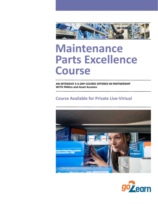

# **Maintenance Parts Excellence Course**

**AN INTENSIVE 3-5-DAY COURSE OFFERED IN PARTNERSHIP WITH PAMco and Asset Acumen**

### **Course Available for Private Live-Virtual**



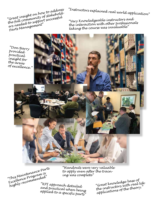*"Instructors explained real world application"*

*"Great insight on how to address*  the full community of stakeholders reeded to support successful *Parts Management"*

*"Very Knowledgeable instructors and the interaction with other professionals taking the course was invaluable"*



*"This Maintenance Parts Excellence Program is highly recommended"*

*"Handouts were very valuable to apply even after the training was complete"*

*"KPI approach detailed and practical when being applied to a specific parts"*  *"Great knowledge base of the instructors with real life applications of the theory."*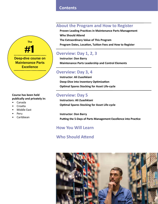### **Contents**

### **About the Program and How to Register**

**Proven Leading Practices in Maintenance Parts Management Who Should Attend The Extraordinary Value of This Program Program Dates, Location, Tuition Fees and How to Register**

### **Overview: Day 1, 2, 3**

**Instructor: Don Barry Maintenance Parts Leadership and Control Elements**

### **Overview: Day 3, 4**

**Instructor: Ali Zuashkiani Deep-Dive into Inventory Optimization Optimal Spares Stocking for Asset Life-cycle**

### **Overview: Day 5**

**Instructors: Ali Zuashkiani Optimal Spares Stocking for Asset Life-cycle**

**Instructor: Don Barry Putting the 5-Days of Parts Management Excellence into Practice**

### **How You Will Learn**

### **Who Should Attend**





### **Course has been held publically and privately in:**

- Canada
- Croatia
- Middle East
- Peru
- Caribbean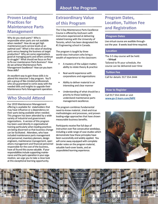### **Proven Leading Practices for Maintenance Parts Management**

Why do you stock parts? Who is responsible when parts are not available when needed? How do we get high maintenance parts service levels at an optimal cost? What is the value of stocking parts versus keeping the business at target production? Why are some organizations good at managing parts and others continue to struggle? What should we focus on first to fix our maintenance Parts Business? How do we achieve Maintenance Parts Management Excellence? How can you learn these skills?

An excellent way to gain these skills is to attend this intensive 5-day program. You'll join a group of like-minded professionals who are guaranteed to come away with the needed skills and insights to upgrade their Maintenance Parts Management operation.

### **Who Should Attend**

Our 2019 Maintenance Management offering is available for stakeholders that may have influence or a dependency on their parts being available when needed. This program has been attended by a wide variety of industrial and government organizations. A version of this program has been used directly in organizational training particularly when leading practices are being discerned so that business change can be facilitated. Attendees, who have included maintenance parts management and personnel, inventory planners, design engineers, maintenance management, operations management and financial personnel responsible for the cost of the business, have all found this course valuable. If your responsibilities include supporting maintenance and the parts operation in your organization, we urge you to take a close look at this exceptional learning opportunity.

### **Extraordinary Value of this Program**

The 5-Day Maintenance Parts Excellence Course is offered by Go2Learn with instructors experienced at delivering related training with the University of Toronto, which has been designated the #1 Engineering school in Canada.

The program is taught by three world-class instructors who bring a wealth of experience to the classroom:

- A mastery of the subject matter; ability to relate theory & practice
- Real-world experience with corporations and organizations
- Ability to deliver material in an interesting and clear manner
- Understanding of what should be a priority to those looking to understand maintenance parts management excellence.

The program combines fundamental need-to-know material , tried-and-true methodologies and processes, and proven leading-edge approaches that have shown measurable business benefits.

Participants receive five full days of instruction over five consecutive weekdays, including a wide range of case studies which demonstrate how these principles have been successfully and widely applied. You will come away equipped with complete binder notes on the program material, valuable hard-cover books, and an unparalleled learning experience.

### **Program Dates, Location, Tuition Fee and Registration**

#### **Program Dates**

Live virtual course are availible throughout the year. 8 weeks lead-time required.

#### **Location**

The 3-5 day course will be held:  **- Virtual** Tailored to fit your schedule, the course can be delivered over time

#### **Tuition Fee**

Call for details: 917 554-3444

#### **How to Register**

Call 917 554-3444 or visit **www.go-2-learn.com/MPE**



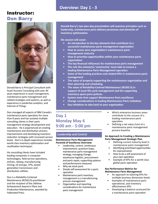### **Overview: Day 1 - 3**

### Instructor: Don Barry



Donald Barry is Principal Consultant with Asset Acumen Consulting with over 40 years experience in asset management, maintenance parts management and related strategies and systems, as well as experience in predictive analytics, and Internet of Things.

Don managed all aspects of IBM Canada's maintenance parts operation for more than 8 years and has assisted multiple consulting clients in their parts management strategy development and execution. He is experienced at creating maintenance and distribution process improvements and developing inventory reduction strategies with increased service levels. Don's in-depth experience includes world-class inventory optimization and reutilization techniques.

His consulting clients have included leading companies in computer technologies, field service operations, airlines, railway, manufacturing, mining, oil and gas, CPG, power generation transmission and distribution utilities.

Don is a Reliability Centered Maintenance (RCM2/3) practitioner and the recipient of the Lifetime Achievement Award in Plant and Production Maintenance, awarded by Federated Press.

**Donald Barry's two-plus day presentation will examine principles such as leadership, maintenance parts delivery processes and elements of inventory optimization.** 

**His session will cover:**

- **• An introduction to the key elements that contribute to a successful maintenance parts management organization**
- **• How to assess your organization's maintenance parts management maturity**
- **• How to prioritize opportunities within your maintenance parts organization**
- **• The key financial influences for maintenance parts management**
- **• The role the enterprise 'community' must take to ensure a leading Maintenance Parts Management operation**
- **• Some of the leading practices and related KPIs in maintenance parts management**
- **• The value of properly supporting the maintenance organization and their planning and scheduling**
- **• The value of Reliability-Centred Maintenance (RCM2-3) in support of asset life-cycle management and the supporting inventory spare parts policies**
- **• System tools that support Maintenance Parts excellence**
- **• Change considerations in leading Maintenance Parts initiatives**
- **• Key initiatives to take back to your organization**

### **Day 1 Monday May 4 9:00 am - 5:00 pm**

#### **Leadership and Control**

#### **Maintenance Parts Management Pyramid of Excellence Overview**

- Leadership, control, continuous improvement, quantum leaps, maintenance parts management strategy, managing change, warehouse logistics, procurement and parts repair, supporting systems and performance measures
- Why we stock parts
- Simple self-assessment for a parts operation
- Maintenance parts inventory management vs a manufacturing process management
- Organization and reporting considerations for maintenance parts management
- Which enterprise business areas contribute to the success of a leading maintenance parts operation
- Defining a net value /cost of a maintenance parts management process baseline

#### **An Approach to Creating a Maintenance Parts Management Strategic Plan**

- Defining current maturity level in maintenance parts management
- Identifying prioritized opportunities for improvements
- How to do a self-assessment of your own operation
- Example of KPIs for a world-class global parts operation

#### **Key Performance Metrics for Maintenance Parts Management**

- An approach to tailoring KPIs for multiple business dimension levels
- Examples of maintenance parts operational, and inventory effectiveness KPIs
- Developing a balance scorecard for a maintenance parts operation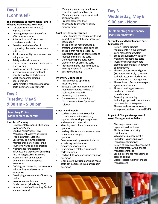### **Day 1 (Continued)**

#### **The Importance of Maintenance Parts in Effective Maintenance Execution.**

- Key stock room (warehouse) logistics elements
- Defining the process flow of an effective stock room
- Roles and tasks of a stock room coordinator and staff
- Exercise on the benefits of supporting planned maintenance with parts
- Stock room facility requirements and sizing exercise
- Safety and environmental considerations in maintenance parts warehousing
- Guidance on stock room security, inventory counts and material handling tools and techniques
- Stock room organizational considerations
- Sizing remote & mobile maintenance parts inventory requirements

### **Day 2 Tuesday, May 5 9:00 am - 5:00 pm**

#### **Inventory Policy Management Dynamics**

#### **Inventory Planning**

- Fundamental responsibilities of an Inventory Planner
- Leading Parts Process Flow Management Systems attributes (Replenishment, Mobility)
- Case Study on how to prioritize maintenance parts needs in the journey towards leading practice
- Maintenance Parts stocking influences and approaches (including ABC stocking level management)
- Managing high and medium demand maintenance parts inventories
- Defining and defending the inventory value and service levels in an enterprise
- Developing the elements of inventory policy
- Inventory replenishment fundamentals (MIN/MAX, EOQ)
- Introduction of an "Inventory Profile" summary report
- Managing inventory echelons in complex logistics networks
- Managing inventory surplus and scrap processes
- Process elements that contribute to inventory policy management

#### **Asset Life-Cycle Integration**

- Understanding the requirements and impact of successful initial spare parts list creation
- The role of the manufacturer in creating your initial spare parts list
- The role that risk and reliability insights influence the early asset and maintenance parts life-cycle
- Defining the spare parts policy ownership in an asset life-cycle
- Process elements that contribute to initial spare parts list creation
- Spare parts netting

#### **Inventory Optimization**

- An approach to optimizing inventory levels
- Strategic cost management of maintenance parts – what is realistically achieved?
- Inventory policy netting
- Data elements of a leading "Maintenance Parts Optimizer" solution

#### **Procure and Repair**

- Leading procurement scope for strategic commodity sourcing, supplier relationship management and transaction execution
- Maturity matrix for a procurement operation
- Leading KPIs for a maintenance parts procurement support operation
- Example of an improvement plan for an existing maintenance procurement operation
- Dynamics of a rotable & repairable parts operation
- Leading KPIs for a parts repair support operation
- Example of how used parts and repair costs can be treated in a parts repair operation

### **Day 3 Wednesday, May 6 9:00 am - Noon**

#### **Implementing Maintenance Parts Management**

#### **Technology and Maintenance Parts Management**

- Review leading practice requirements in a maintenance parts management system
- Scope of a typical EAM solution managing maintenance parts
- Inventory management data elements and financial treatment considerations
- The role of business intelligence (BI), automated analysis, mobile technologies, RFID, blockchain in maintenance part management
- The evolution of maintenance parts systems requirements
- Financial tracking of inventory levels and transaction considerations
- Reviewing outsourcing technology options in maintenance parts inventory management
- The role and value of automated storage and retrieval systems (ASRS)

#### **Impact of Change Management in Asset Management Initiatives**

- Challenges maintenance organizations face today
- The benefits of improving maintenance
- Why change management is important in parts and asset management initiatives
- Review of large Asset Management implementations with a change management focus
- Example of change management steps and plans
- Critical success factors of change management

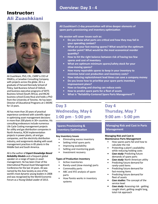## Instructor: Ali Zuashkiani



Ali Zuashkiani, PhD, CRL, CMRP is CEO of PAMCo, a Canadian Consulting Company with projects across the globe. Ali is a graduate of Harvard Kennedy School of Policy, Said Business School of Oxford, and business executive programs of WITS Business School (South Africa), and INCAE business school (Costa Rica) and holds a PhD from the University of Toronto. He has been Director of Educational Programs at C-MORE for 13 years.

Ali has more than 20 years of practical experience combined with scientific rigour in optimizing asset management decisions in more than 200 plants in 30+ countries. His consulting endeavours include numerous Life Cycle Costing management projects for utility and gas distribution companies in North America, RCM implementation projects in power plants, oil and gas companies, and the electricity distribution industry, and assignments dealing with asset management practices in 85 plants in the Middle East and South America.

#### Ali is the author of *Expert Knowledge Based*

*Reliability Models* and a frequent global speaker on a range of topics in asset management. He has been Chair of the International Physical Asset Management Conference for the last 14 years. Ali was named by the Asia Society as one of the world's most dynamic young leaders in 2008 and was recognized by the World Economic Forum as a Young Global Leader of 2013.

### **Overview: Day 3 - 4**

**Ali Zuashkiani's 2-day presentation will drive deeper elements of spare parts provisioning and inventory optimization** 

**His session will cover issues such as:**

- **• Do you know what parts are critical and how they may fail in your operating context?**
- **• What are your fast-moving spares? What would be the optimum reorder point? What would be the most economical reorder quantity?**
- **• How to hit the right balance between risk of having too few spares and cost of inventory**
- **• What are optimum minimum spares/safety stock for your slow-moving spares?**
- **• How many repairable spares to keep in your inventory to minimize total cost production and inventory costs?**
- **• How reducing replenishment lead times can save a company money**
- **• Do you know how to prioritize your spare parts inventory improvement plans?**
- **• How co-locating and sharing can reduce costs**
- **• How to predict spare parts for a fleet of assets**
- **• What is "Reliability-Centered Spare Parts Management"?**

### **Day 3 Wednesday, May 6 1:00 pm - 5:00 pm**

**Day 4 Thursday, May 7 9:00 am - 5:00 pm**

#### **Spares Provisioning & Inventory Optimization**

#### **Key Inventory Issues**

- Eliminating excess inventory
- Setting initial spare parts
- Improving availability
- Setting and monitoring goals
- Investment recovery

#### **Types of Production Inventory**

- Active inventories
- Rarely-used (slow-moving) parts
- Commodity parts
- ABC and XYZ analysis of spare parts
- How Pareto works in inventory systems

**Managing Risk and Cost in Parts Management**

#### **Managing Risk and Cost in Maintenance Parts Management**

- How spares parts fail and how to calculate the risk
- Protecting a plant's availability while reducing holding costs
- *• Case study:* Predicting future demands of spare parts
- *• Case study:* North American utility
- Predicting future demand for rarely-used items
- Predicting future demand for fast-moving items
- Predicting future demand for fleet of assets
- *• Case studies:* The concept of the service level
- *• Case study:* Assessing risk getting caught short, getting caught long, total risk approach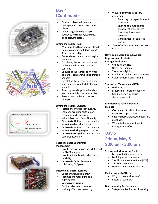![](_page_7_Picture_0.jpeg)

![](_page_7_Picture_1.jpeg)

![](_page_7_Figure_2.jpeg)

![](_page_7_Picture_3.jpeg)

## **Day 4 (Continued)**

- Common biases in inventory management: cost and lead time biases
- Conducting sensitivity analysis: sensitivity to criticality, lead time, price, carrying costs…

#### **Setting the Reorder Point**

- Measuring lead time: impact of lead time on reorder point (Case study)
- Assessing criticality
- Demand analysis and measuring its variation
- Calculating the reorder point when both demand and lead time are constant
- Calculating the reorder point when demand is constant while lead time is variable
- Calculating the reorder point when lead time is constant while demand is variable
- Assessing reorder point where both lead time and demand are variable
- Several case studies and in class examples

#### **Setting the Reorder Quantity**

- Factors affecting reorder quantity
- Estimating carrying costs factors
- Estimating ordering costs
- What is Economic Order Quantity?
- *• Case study:* Optimum order quantity when there is a price discount
- *• Case study:* Optimum order quantity when there is shipping costs discount
- *Case study:* EOQ when there is a spare part production rate

#### **Reliability-Based Spare Parts Management**

- How to develop a spare parts list based on FMEA analysis
- How to set Min-Max to achieve asset reliability
- *• Case study:* Turbo Generator Lubricating Oil System

#### **Determining Excess Inventory**

- Conducting an extreme test
- Assumptions made during an extreme test
- *• Various case studies*
- Getting rid of excess inventory
- Writing off excess inventory
- Ways to optimize inventory investment:
	- ͧ Reducing the replenishment lead-time
	- Sharing common spares
	- ͧ Disposal of gross excess inventory investment recovery
	- ͧ Consignment of selected parts
- *• Several case studies* and in-class exercises

#### **Developing Store Room Layouts, Improvement Projects, Re-organization, etc.**

- Choosing the site
- Using mezzanines
- Storeroom lighting
- Purchasing and installing shelving
- Color rendering and lighting

#### **Storeroom Measures and KPIs**

- Gathering data
- Measuring storeroom activity
- Conducting an in-house storeroom audit

#### **Maintenance Parts Purchasing Insights**

- *• Case study:* 12 actions that cause unnecessary purchases
- *• Case studies:* Avoiding unnecessary purchases
- Where to focus your inventory management efforts

### **Day 5 Friday, May 8 9:00 am - 5:00 pm**

#### **Setting and Monitoring Goals**

- Factors affecting goal results
- Deciding what to measure
- The Absolute Variance Ratio (AVR)
- The  $+/-1$  percentage
- Deciding how often to measure

#### **Partnering with Others**

- Why partner with others?
- Potential partners

#### **Benchmarking Performance**

7 steps to effective benchmarking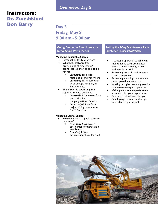## Instructors:

Dr. Zuashkiani **Don Barry Day 5** 

**Friday, May 8 9:00 am - 5:00 pm**

#### **Going Deeper in Asset Life-cycle Initial Spare Parts Tactics**

#### **Managing Repairable Spares**

- Introduction to SMS software
- What SMS software (for provisioning of emergency/ capital spares) may be able to do for you
	- ͧ *Case study 1*: electric motors of a conveyor system
	- ͧ *Case study 2*: TFT pumps for an oil and gas company in North America
- The answer to optimizing the repair-or-replace decisions
	- ͧ *Case study 3*: Gas meters for a gas distribution company in North America
	- Case study 4: PSVs for a major mining company in North America

#### **Managing Capital Spares**

- How many initial capital spares to purchase?
	- ͧ *Case study 1*: Aluminum pot-line transformers case in New Zealand
	- ͧ *Case study 2*: Steel manufacturing fume fan shaft

#### **Putting the 5-Day Maintenance Parts Excellence Course into Practice**

- A strategic approach to achieving maintenance parts excellence: getting the technology, process and people mix right
- Reviewing trends in maintenance parts management
- Reviewing a leading maintenance parts operation case study
- Working through a case study exercise on a maintenance parts operation
- Making maintenance parts excellence work for your organization
- Programs that will work for you
- Developing personal 'next steps' for each class participant.

![](_page_8_Picture_25.jpeg)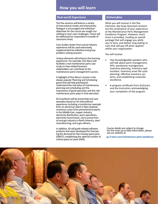### **How you will learn**

#### **Real-world Experience Deliverables**

The five sessions will feature a variety of instructional modes and interactivity. Dialogue is encouraged and individual objectives for the course are sought out relating to one's own challenges. These will be addressed (or responded to outside of classroom time).

Case studies drawn from actual industry experience will be used extensively, supplemented by individual and group problem-solving sessions.

Unique elements will enhance the learning experience. For example, Don Barry will facilitate a real maintenance parts case study on how related business stakeholders can contribute to the maintenance parts management success.

A highlight of Don Barry's session is the always-popular Planning and Scheduling game that will help participants understand the real value of maintenance planning and scheduling and the importance of good execution and the role maintenance parts plays in that execution.

Ali Zuashkiani will be presenting real case examples based on his international experience including a transformer example from an aluminum plant in New Zealand, numerous cases from petrochemical plants in the Middle East, copper industry, electricity distribution, ports operations, electricity transmission, slurry pump from oil and gas industry in North America, steel manufacturing, and a gas refinery.

In addition, Ali will guide related software products that were developed for forecasting the demand for fast-moving spare parts (OREST), establishing the optimal number of critical spares to stock (SMS).

What you will receive in the five intensive, day-long classroom sessions are the centerpiece of your experience at the Maintenance Parts Management Excellence Program. However, much more is provided, creating an overall package that will engage you while you're here, and deliver long-lasting results that will pay off when applied within your organization.

You will receive:

- Two knowledgeable speakers who will talk about parts management, KPIs, warehouse management, inventory planning, inventory optimization, inventory asset life-cycle planning, effective inventory systems, and establishing corporate excellence.
- A program certificate from Go2Learn and the Instructors acknowledging your completion of the program.

Course details are subject to change. For the most up-to-date information, please see our website at:

**go-2-learn.com/maintenance-parts-excellence/**

![](_page_9_Picture_15.jpeg)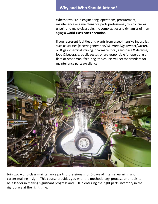### **Why and Who Should Attend?**

Whether you're in engineering, operations, procurement, maintenance or a maintenance parts professional, this course will unveil, and make digestible, the complexities and dynamics of managing a **world-class parts operation**.

If you represent facilities and plants from asset-intensive industries such as utilities (electric generation/T&D/retail/gas/water/waste), oil & gas, chemical, mining, pharmaceutical, aerospace & defense, food & beverage, public sector, or are responsible for operating a fleet or other manufacturing, this course will set the standard for maintenance parts excellence.

![](_page_10_Picture_3.jpeg)

Join two world-class maintenance parts professionals for 5-days of intense learning, and career-making insight. This course provides you with the methodology, process, and tools to be a leader in making significant progress and ROI in ensuring the right parts inventory in the right place at the right time.